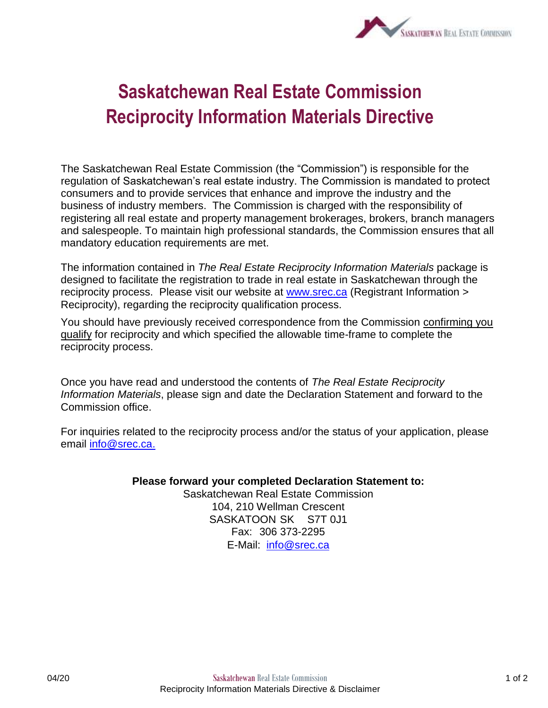

## **Saskatchewan Real Estate Commission Reciprocity Information Materials Directive**

The Saskatchewan Real Estate Commission (the "Commission") is responsible for the regulation of Saskatchewan's real estate industry. The Commission is mandated to protect consumers and to provide services that enhance and improve the industry and the business of industry members. The Commission is charged with the responsibility of registering all real estate and property management brokerages, brokers, branch managers and salespeople. To maintain high professional standards, the Commission ensures that all mandatory education requirements are met.

The information contained in *The Real Estate Reciprocity Information Materials* package is designed to facilitate the registration to trade in real estate in Saskatchewan through the reciprocity process. Please visit our website at [www.srec.ca](http://www.srec.ca/) (Registrant Information > Reciprocity), regarding the reciprocity qualification process.

You should have previously received correspondence from the Commission confirming you qualify for reciprocity and which specified the allowable time-frame to complete the reciprocity process.

Once you have read and understood the contents of *The Real Estate Reciprocity Information Materials*, please sign and date the Declaration Statement and forward to the Commission office.

For inquiries related to the reciprocity process and/or the status of your application, please email [info@srec.ca.](mailto:info@srec.ca)

## **Please forward your completed Declaration Statement to:**

Saskatchewan Real Estate Commission 104, 210 Wellman Crescent SASKATOON SK S7T 0J1 Fax: 306 373-2295 E-Mail: [info@srec.ca](mailto:info@srec.ca)